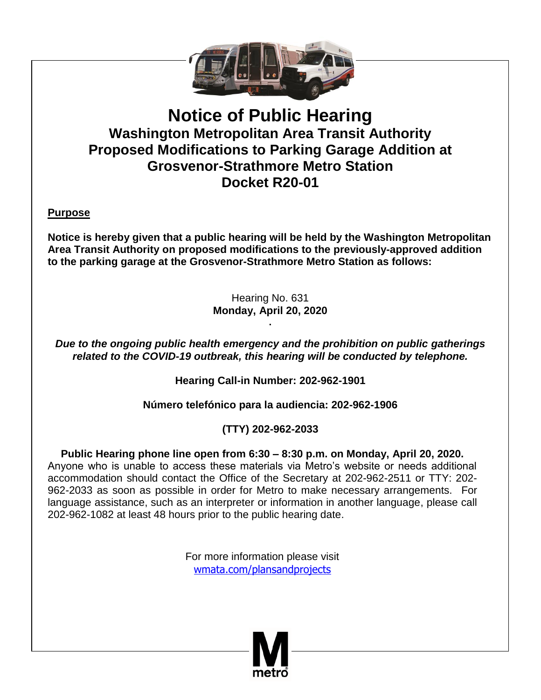

# **Notice of Public Hearing Washington Metropolitan Area Transit Authority Proposed Modifications to Parking Garage Addition at Grosvenor-Strathmore Metro Station Docket R20-01**

**Purpose**

**Notice is hereby given that a public hearing will be held by the Washington Metropolitan Area Transit Authority on proposed modifications to the previously-approved addition to the parking garage at the Grosvenor-Strathmore Metro Station as follows:**

> Hearing No. 631 **Monday, April 20, 2020 .**

*Due to the ongoing public health emergency and the prohibition on public gatherings related to the COVID-19 outbreak, this hearing will be conducted by telephone.*

**Hearing Call-in Number: 202-962-1901**

**Número telefónico para la audiencia: 202-962-1906**

## **(TTY) 202-962-2033**

**Public Hearing phone line open from 6:30 – 8:30 p.m. on Monday, April 20, 2020.**  Anyone who is unable to access these materials via Metro's website or needs additional accommodation should contact the Office of the Secretary at 202-962-2511 or TTY: 202- 962-2033 as soon as possible in order for Metro to make necessary arrangements. For language assistance, such as an interpreter or information in another language, please call 202-962-1082 at least 48 hours prior to the public hearing date.

> For more information please visit [wmata.com/plansandprojects](http://www.wmata.com/plansandprojects)

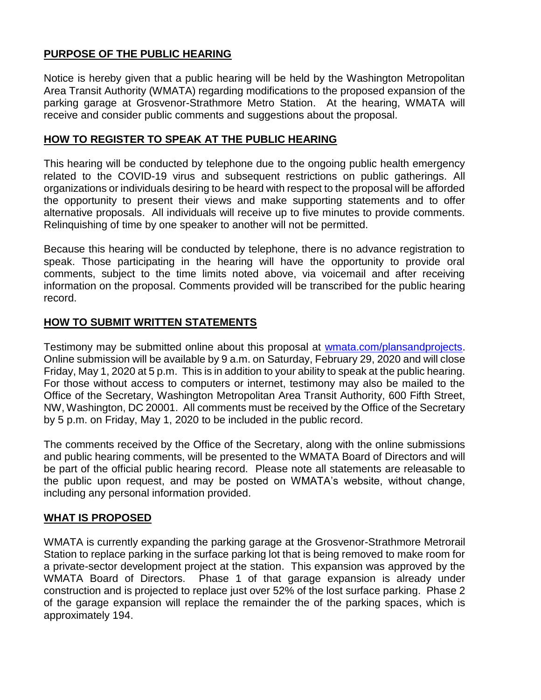## **PURPOSE OF THE PUBLIC HEARING**

Notice is hereby given that a public hearing will be held by the Washington Metropolitan Area Transit Authority (WMATA) regarding modifications to the proposed expansion of the parking garage at Grosvenor-Strathmore Metro Station. At the hearing, WMATA will receive and consider public comments and suggestions about the proposal.

#### **HOW TO REGISTER TO SPEAK AT THE PUBLIC HEARING**

This hearing will be conducted by telephone due to the ongoing public health emergency related to the COVID-19 virus and subsequent restrictions on public gatherings. All organizations or individuals desiring to be heard with respect to the proposal will be afforded the opportunity to present their views and make supporting statements and to offer alternative proposals. All individuals will receive up to five minutes to provide comments. Relinquishing of time by one speaker to another will not be permitted.

Because this hearing will be conducted by telephone, there is no advance registration to speak. Those participating in the hearing will have the opportunity to provide oral comments, subject to the time limits noted above, via voicemail and after receiving information on the proposal. Comments provided will be transcribed for the public hearing record.

#### **HOW TO SUBMIT WRITTEN STATEMENTS**

Testimony may be submitted online about this proposal at [wmata.com/plansandprojects.](http://www.wmata.com/plansandprojects) Online submission will be available by 9 a.m. on Saturday, February 29, 2020 and will close Friday, May 1, 2020 at 5 p.m. This is in addition to your ability to speak at the public hearing. For those without access to computers or internet, testimony may also be mailed to the Office of the Secretary, Washington Metropolitan Area Transit Authority, 600 Fifth Street, NW, Washington, DC 20001. All comments must be received by the Office of the Secretary by 5 p.m. on Friday, May 1, 2020 to be included in the public record.

The comments received by the Office of the Secretary, along with the online submissions and public hearing comments, will be presented to the WMATA Board of Directors and will be part of the official public hearing record. Please note all statements are releasable to the public upon request, and may be posted on WMATA's website, without change, including any personal information provided.

#### **WHAT IS PROPOSED**

WMATA is currently expanding the parking garage at the Grosvenor-Strathmore Metrorail Station to replace parking in the surface parking lot that is being removed to make room for a private-sector development project at the station. This expansion was approved by the WMATA Board of Directors. Phase 1 of that garage expansion is already under construction and is projected to replace just over 52% of the lost surface parking. Phase 2 of the garage expansion will replace the remainder the of the parking spaces, which is approximately 194.